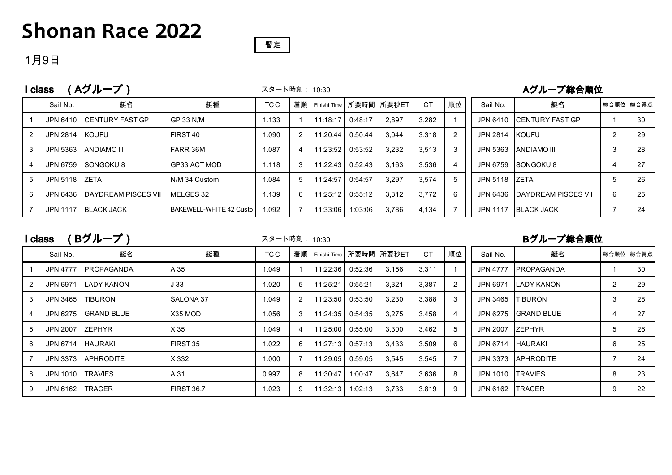## **Shonan Race 2022**



### 1月9日

| (Aグループ)<br>I class |                 |                            |                         |       |    | スタート時刻: 10:30 |         |                         | Aグループ総合順位 |                |                 |                             |           |    |
|--------------------|-----------------|----------------------------|-------------------------|-------|----|---------------|---------|-------------------------|-----------|----------------|-----------------|-----------------------------|-----------|----|
|                    | Sail No.        | 艇名                         | 艇種                      | TC C  | 着順 |               |         | Finishi Time 所要時間 所要秒ET | <b>CT</b> | 順位             | Sail No.        | 艇名                          | 総合順位 総合得点 |    |
|                    | JPN 6410        | ICENTURY FAST GP           | IGP 33 N/M              | 1.133 |    | 11:18:17      | 0:48:17 | 2.897                   | 3.282     |                | JPN 6410        | <b>ICENTURY FAST GP</b>     |           | 30 |
|                    | JPN 2814        | <b>IKOUFU</b>              | FIRST <sub>40</sub>     | 1.090 |    | 11:20:44      | 0:50:44 | 3.044                   | 3.318     | $\overline{2}$ | JPN 2814        | <b>IKOUFU</b>               | 2         | 29 |
| 3                  | JPN 5363        | <b>ANDIAMO III</b>         | <b>FARR 36M</b>         | 1.087 |    | 11:23:52      | 0:53:52 | 3,232                   | 3.513     | 3              | JPN 5363        | <b>ANDIAMO III</b>          | 3         | 28 |
|                    | JPN 6759        | SONGOKU <sup>8</sup>       | IGP33 ACT MOD           | 1.118 | 3  | 11:22:43      | 0:52:43 | 3,163                   | 3,536     | 4              | JPN 6759        | <b>SONGOKU8</b>             | 4         | 27 |
| 5                  | JPN 5118        | <b>IZETA</b>               | IN/M 34 Custom          | 1.084 |    | 11:24:57      | 0:54:57 | 3.297                   | 3.574     | 5              | JPN 5118        | <b>IZETA</b>                | 5         | 26 |
| 6                  | JPN 6436        | <b>DAYDREAM PISCES VII</b> | MELGES 32               | 1.139 | 6  | 11:25:12      | 0:55:12 | 3.312                   | 3.772     | 6              | JPN 6436        | <b>IDAYDREAM PISCES VII</b> | 6         | 25 |
|                    | <b>JPN 1117</b> | <b>BLACK JACK</b>          | BAKEWELL-WHITE 42 Custo | 1.092 |    | 11:33:06      | 1:03:06 | 3,786                   | 4.134     |                | <b>JPN 1117</b> | <b>BLACK JACK</b>           |           | 24 |

I class (Bグループ)

スタート時刻: 10:30

#### Bグループ総合順位

|   | Sail No.         | 艇名                 | 艇種               | TC C  | 着順 |          |         | Finishi Time   所要時間   所要秒ET | <b>CT</b> | 順位             | Sail No.        | 艇名                |                | 総合順位 総合得点 |
|---|------------------|--------------------|------------------|-------|----|----------|---------|-----------------------------|-----------|----------------|-----------------|-------------------|----------------|-----------|
|   | JPN 4777         | <b>IPROPAGANDA</b> | A 35             | 1.049 |    | 11:22:36 | 0:52:36 | 3,156                       | 3,311     |                | <b>JPN 4777</b> | <b>PROPAGANDA</b> |                | 30        |
|   | JPN 6971         | <b>LADY KANON</b>  | J 33             | 1.020 | 5  | 11:25:21 | 0:55:21 | 3,321                       | 3,387     | 2              | JPN 6971        | <b>LADY KANON</b> | $\overline{2}$ | 29        |
| 3 | JPN 3465         | <b>ITIBURON</b>    | <b>SALONA 37</b> | 1.049 |    | 11:23:50 | 0:53:50 | 3,230                       | 3,388     | 3              | JPN 3465        | <b>TIBURON</b>    | 3              | 28        |
|   | JPN 6275         | <b>GRAND BLUE</b>  | X35 MOD          | 1.056 | 3  | 11:24:35 | 0:54:35 | 3,275                       | 3,458     | $\overline{4}$ | JPN 6275        | <b>GRAND BLUE</b> | 4              | 27        |
| 5 | JPN 2007         | <b>IZEPHYR</b>     | X 35             | 1.049 |    | 11:25:00 | 0:55:00 | 3,300                       | 3,462     | 5              | JPN 2007        | <b>IZEPHYR</b>    | 5              | 26        |
| 6 | JPN 6714         | <b>HAURAKI</b>     | <b>IFIRST 35</b> | 1.022 | 6  | 11:27:13 | 0:57:13 | 3,433                       | 3,509     | 6              | JPN 6714        | <b>HAURAKI</b>    | 6              | 25        |
|   | JPN 3373         | <b>APHRODITE</b>   | X 332            | 1.000 |    | 11:29:05 | 0:59:05 | 3,545                       | 3,545     |                | JPN 3373        | <b>APHRODITE</b>  | $\overline{ }$ | 24        |
| 8 | JPN 1010 TRAVIES |                    | A 31             | 0.997 | 8  | 11:30:47 | 1:00:47 | 3,647                       | 3,636     | 8              | JPN 1010        | <b>TRAVIES</b>    | 8              | 23        |
| 9 | JPN 6162         | <b>TRACER</b>      | FIRST 36.7       | 1.023 | 9  | 11:32:13 | 1:02:13 | 3,733                       | 3,819     | 9              | JPN 6162        | <b>TRACER</b>     | 9              | 22        |